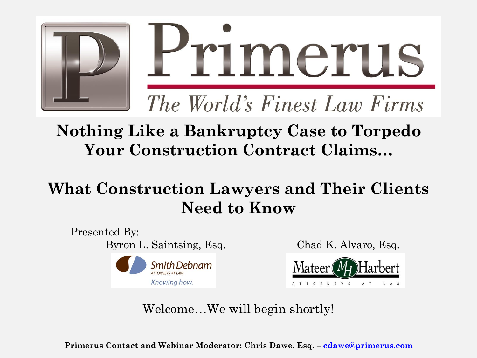

#### **Nothing Like a Bankruptcy Case to Torpedo Your Construction Contract Claims…**

#### **What Construction Lawyers and Their Clients Need to Know**

Presented By: Byron L. Saintsing, Esq. Chad K. Alvaro, Esq.





AT LAW

A T T O R N E Y S

Welcome…We will begin shortly!

**Primerus Contact and Webinar Moderator: Chris Dawe, Esq. – [cdawe@primerus.com](mailto:cdawe@primerus.com)**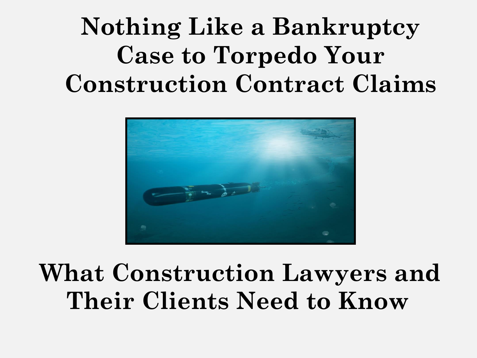### **Nothing Like a Bankruptcy Case to Torpedo Your Construction Contract Claims**



### **What Construction Lawyers and Their Clients Need to Know**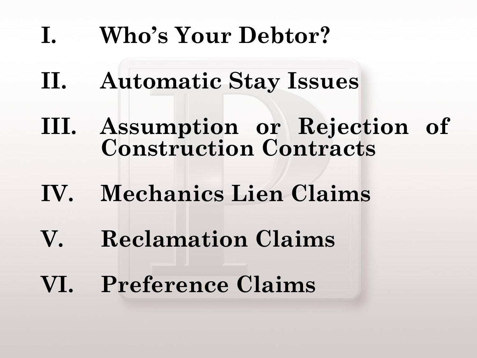### **I. Who's Your Debtor?**

- **II. Automatic Stay Issues**
- **III. Assumption or Rejection of Construction Contracts**
- **IV. Mechanics Lien Claims**
- **V. Reclamation Claims**
- **VI. Preference Claims**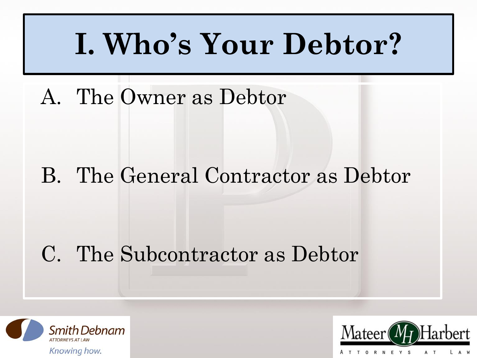# **I. Who's Your Debtor?**

A. The Owner as Debtor

#### B. The General Contractor as Debtor

#### C. The Subcontractor as Debtor



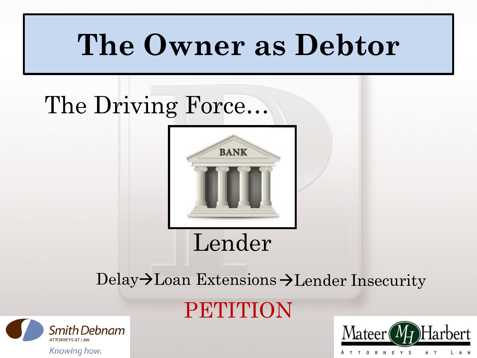### The Driving Force…



#### Delay $\rightarrow$ Loan Extensions $\rightarrow$ Lender Insecurity





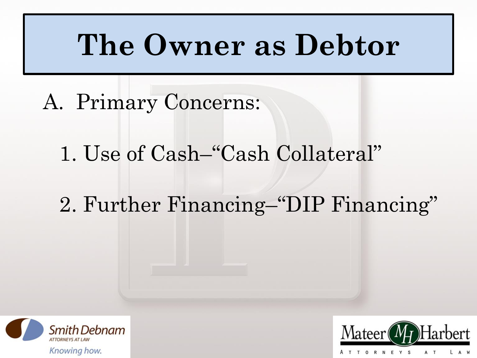- A. Primary Concerns:
	- 1. Use of Cash–"Cash Collateral"
	- 2. Further Financing–"DIP Financing"



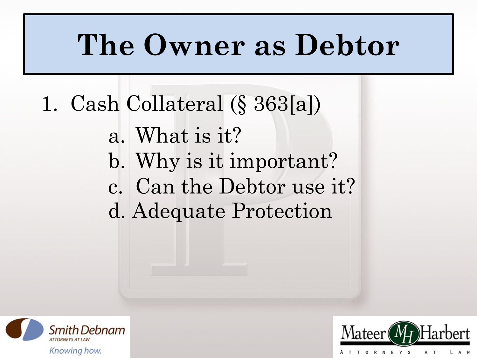- 1. Cash Collateral (§ 363[a])
	- a. What is it? b. Why is it important? c. Can the Debtor use it? d. Adequate Protection



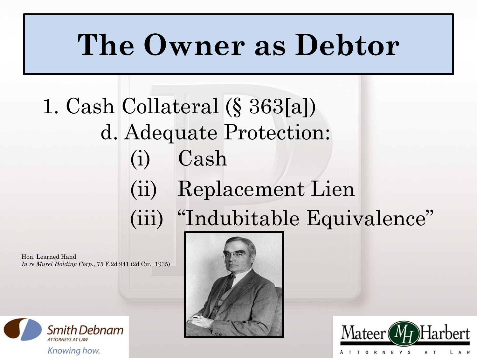### 1. Cash Collateral (§ 363[a]) d. Adequate Protection: (i) Cash (ii) Replacement Lien (iii) "Indubitable Equivalence"

Hon. Learned Hand *In re Murel Holding Corp.*, 75 F.2d 941 (2d Cir. 1935)





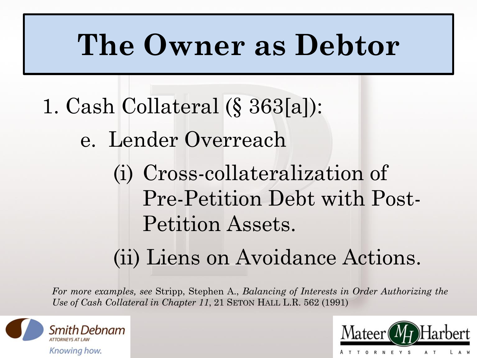- 1. Cash Collateral (§ 363[a]):
	- e. Lender Overreach
		- (i) Cross-collateralization of Pre-Petition Debt with Post-Petition Assets.
		- (ii) Liens on Avoidance Actions.

*For more examples, see* Stripp, Stephen A., *Balancing of Interests in Order Authorizing the Use of Cash Collateral in Chapter 11*, 21 SETON HALL L.R. 562 (1991)



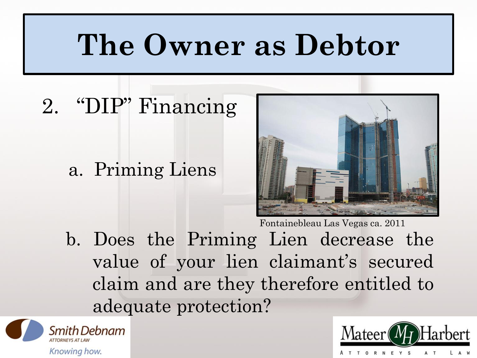#### 2. "DIP" Financing

a. Priming Liens



b. Does the Priming Lien decrease the value of your lien claimant's secured claim and are they therefore entitled to adequate protection?



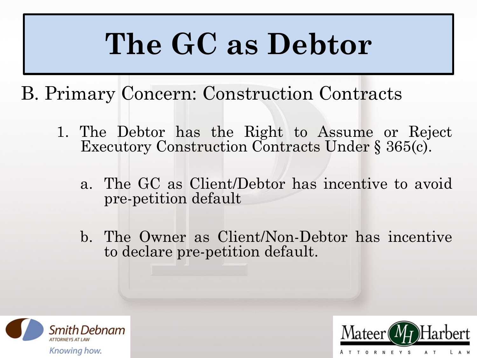# **The GC as Debtor**

- B. Primary Concern: Construction Contracts
	- 1. The Debtor has the Right to Assume or Reject Executory Construction Contracts Under § 365(c).
		- a. The GC as Client/Debtor has incentive to avoid pre-petition default
		- b. The Owner as Client/Non-Debtor has incentive to declare pre-petition default.



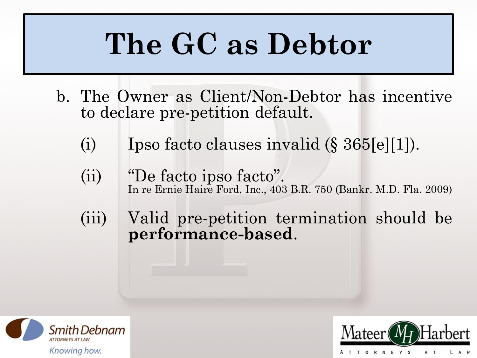# **The GC as Debtor**

- b. The Owner as Client/Non-Debtor has incentive to declare pre-petition default.
	- (i) Ipso facto clauses invalid (§ 365[e][1]).
	- (ii) "De facto ipso facto". In re Ernie Haire Ford, Inc., 403 B.R. 750 (Bankr. M.D. Fla. 2009)
	- (iii) Valid pre-petition termination should be **performance-based**.



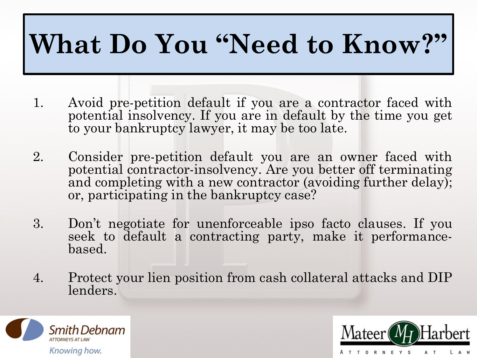### **What Do You "Need to Know?"**

- 1. Avoid pre-petition default if you are a contractor faced with potential insolvency. If you are in default by the time you get to your bankruptcy lawyer, it may be too late.
- 2. Consider pre-petition default you are an owner faced with potential contractor-insolvency. Are you better off terminating and completing with a new contractor (avoiding further delay); or, participating in the bankruptcy case?
- 3. Don't negotiate for unenforceable ipso facto clauses. If you seek to default a contracting party, make it performancebased.
- 4. Protect your lien position from cash collateral attacks and DIP lenders.



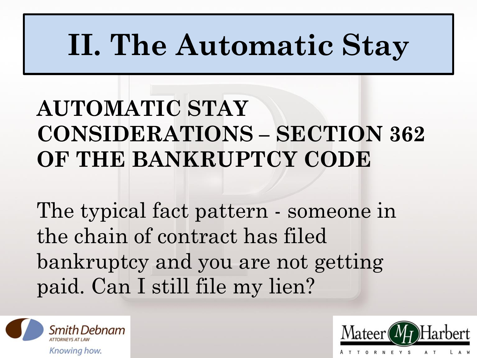# **II. The Automatic Stay**

### **AUTOMATIC STAY CONSIDERATIONS – SECTION 362 OF THE BANKRUPTCY CODE**

The typical fact pattern - someone in the chain of contract has filed bankruptcy and you are not getting paid. Can I still file my lien?



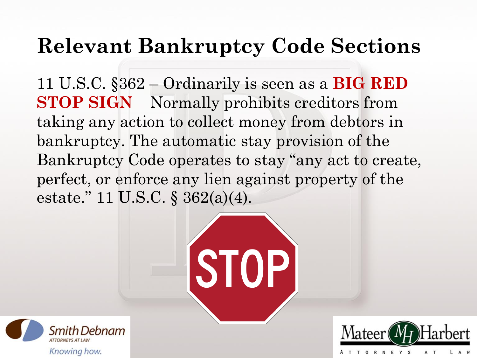#### **Relevant Bankruptcy Code Sections**

11 U.S.C. §362 – Ordinarily is seen as a **BIG RED STOP SIGN** Normally prohibits creditors from taking any action to collect money from debtors in bankruptcy. The automatic stay provision of the Bankruptcy Code operates to stay "any act to create, perfect, or enforce any lien against property of the estate." 11 U.S.C. § 362(a)(4).





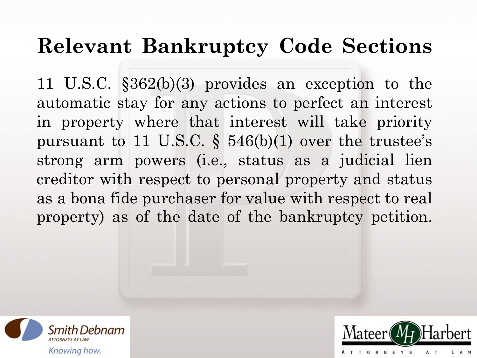#### **Relevant Bankruptcy Code Sections**

11 U.S.C. §362(b)(3) provides an exception to the automatic stay for any actions to perfect an interest in property where that interest will take priority pursuant to 11 U.S.C.  $\S$  546(b)(1) over the trustee's strong arm powers (i.e., status as a judicial lien creditor with respect to personal property and status as a bona fide purchaser for value with respect to real property) as of the date of the bankruptcy petition.



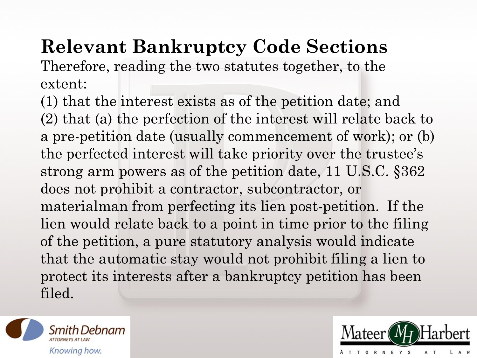### **Relevant Bankruptcy Code Sections**

Therefore, reading the two statutes together, to the extent:

(1) that the interest exists as of the petition date; and (2) that (a) the perfection of the interest will relate back to a pre-petition date (usually commencement of work); or (b) the perfected interest will take priority over the trustee's strong arm powers as of the petition date, 11 U.S.C. §362 does not prohibit a contractor, subcontractor, or materialman from perfecting its lien post-petition. If the lien would relate back to a point in time prior to the filing of the petition, a pure statutory analysis would indicate that the automatic stay would not prohibit filing a lien to protect its interests after a bankruptcy petition has been filed.



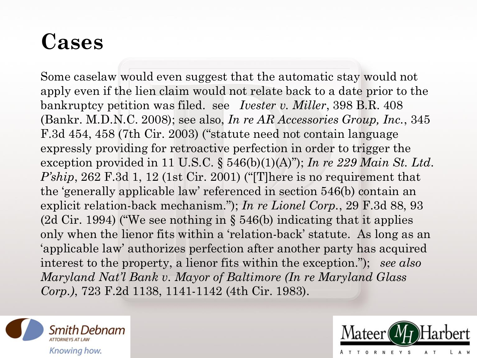### **Cases**

Some caselaw would even suggest that the automatic stay would not apply even if the lien claim would not relate back to a date prior to the bankruptcy petition was filed. see *Ivester v. Miller*, 398 B.R. 408 (Bankr. M.D.N.C. 2008); see also, *In re AR Accessories Group, Inc.*, 345 F.3d 454, 458 (7th Cir. 2003) ("statute need not contain language expressly providing for retroactive perfection in order to trigger the exception provided in 11 U.S.C. § 546(b)(1)(A)"); *In re 229 Main St. Ltd. P'ship*, 262 F.3d 1, 12 (1st Cir. 2001) ("There is no requirement that the 'generally applicable law' referenced in section 546(b) contain an explicit relation-back mechanism."); *In re Lionel Corp.*, 29 F.3d 88, 93 (2d Cir. 1994) ("We see nothing in § 546(b) indicating that it applies only when the lienor fits within a 'relation-back' statute. As long as an 'applicable law' authorizes perfection after another party has acquired interest to the property, a lienor fits within the exception."); *see also Maryland Nat'l Bank v. Mayor of Baltimore (In re Maryland Glass Corp.)*, 723 F.2d 1138, 1141-1142 (4th Cir. 1983).



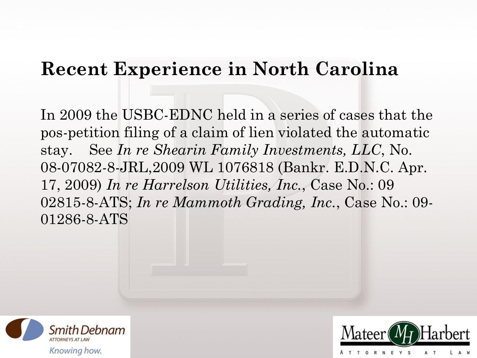In 2009 the USBC-EDNC held in a series of cases that the pos-petition filing of a claim of lien violated the automatic stay. See *In re Shearin Family Investments, LLC*, No. 08-07082-8-JRL,2009 WL 1076818 (Bankr. E.D.N.C. Apr. 17, 2009) *In re Harrelson Utilities, Inc.*, Case No.: 09 02815-8-ATS; *In re Mammoth Grading, Inc.*, Case No.: 09- 01286-8-ATS



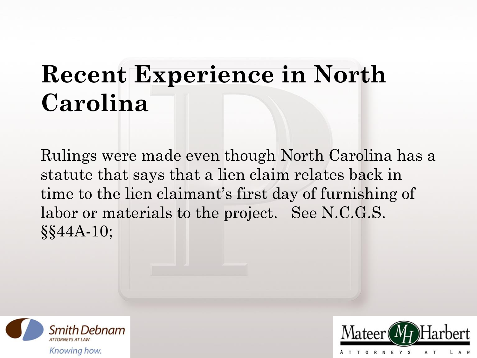Rulings were made even though North Carolina has a statute that says that a lien claim relates back in time to the lien claimant's first day of furnishing of labor or materials to the project. See N.C.G.S. §§44A-10;



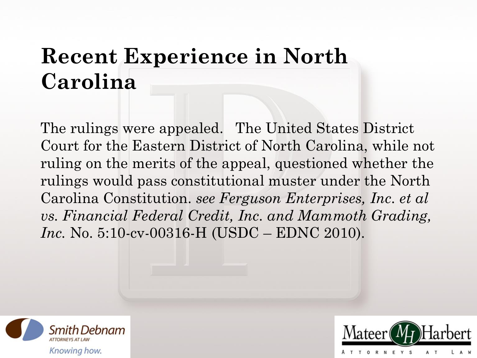The rulings were appealed. The United States District Court for the Eastern District of North Carolina, while not ruling on the merits of the appeal, questioned whether the rulings would pass constitutional muster under the North Carolina Constitution. *see Ferguson Enterprises, Inc. et al vs. Financial Federal Credit, Inc. and Mammoth Grading, Inc.* No. 5:10-cv-00316-H (USDC – EDNC 2010).



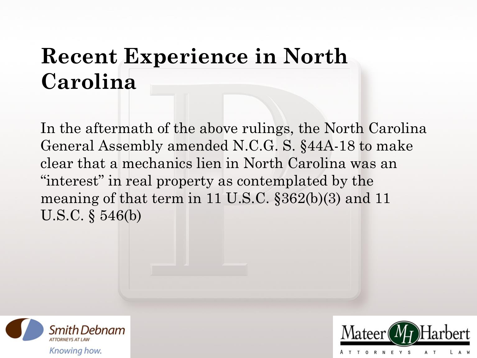In the aftermath of the above rulings, the North Carolina General Assembly amended N.C.G. S. §44A-18 to make clear that a mechanics lien in North Carolina was an "interest" in real property as contemplated by the meaning of that term in 11 U.S.C. §362(b)(3) and 11 U.S.C. § 546(b)



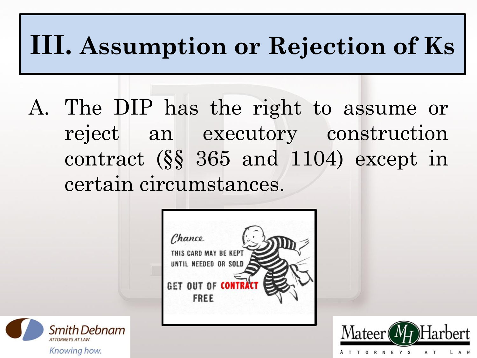### **III. Assumption or Rejection of Ks**

A. The DIP has the right to assume or reject an executory construction contract (§§ 365 and 1104) except in certain circumstances.





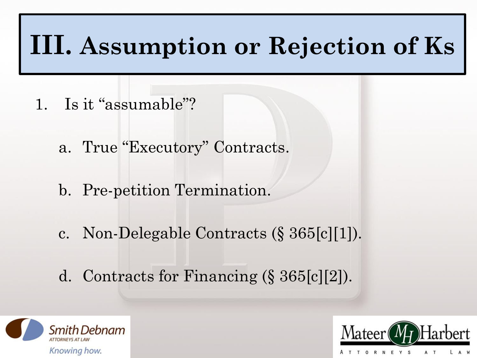### **III. Assumption or Rejection of Ks**

- 1. Is it "assumable"?
	- a. True "Executory" Contracts.
	- b. Pre-petition Termination.
	- c. Non-Delegable Contracts (§ 365[c][1]).
	- d. Contracts for Financing (§ 365[c][2]).



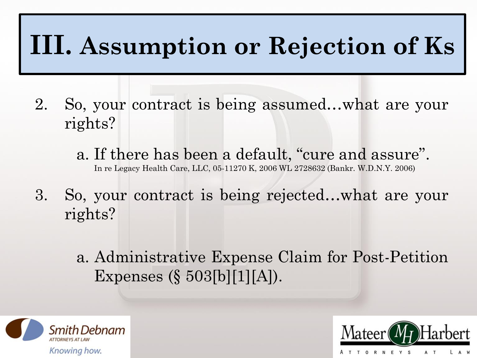### **III. Assumption or Rejection of Ks**

- 2. So, your contract is being assumed…what are your rights?
	- a. If there has been a default, "cure and assure". In re Legacy Health Care, LLC, 05-11270 K, 2006 WL 2728632 (Bankr. W.D.N.Y. 2006)
- 3. So, your contract is being rejected…what are your rights?
	- a. Administrative Expense Claim for Post-Petition Expenses (§ 503[b][1][A]).



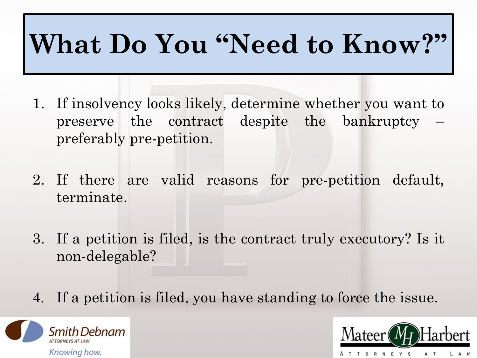## **What Do You "Need to Know?"**

- 1. If insolvency looks likely, determine whether you want to preserve the contract despite the bankruptcy – preferably pre-petition.
- 2. If there are valid reasons for pre-petition default, terminate.
- 3. If a petition is filed, is the contract truly executory? Is it non-delegable?
- 4. If a petition is filed, you have standing to force the issue.



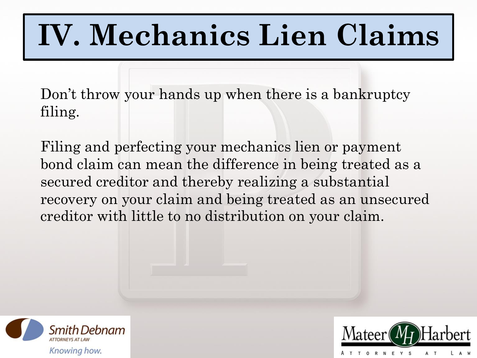# **MECHANICS LIEN CLAIMS IV. Mechanics Lien Claims**

Don't throw your hands up when there is a bankruptcy filing.

Filing and perfecting your mechanics lien or payment bond claim can mean the difference in being treated as a secured creditor and thereby realizing a substantial recovery on your claim and being treated as an unsecured creditor with little to no distribution on your claim.



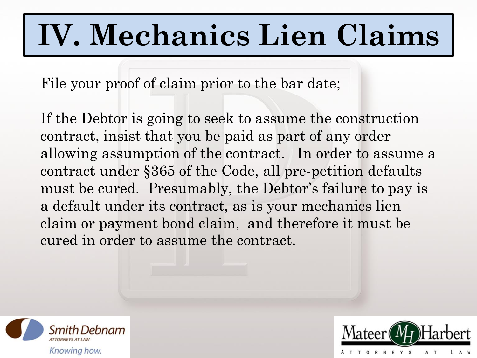# **MECHANICS LIEN CLAIMS IV. Mechanics Lien Claims**

File your proof of claim prior to the bar date;

If the Debtor is going to seek to assume the construction contract, insist that you be paid as part of any order allowing assumption of the contract. In order to assume a contract under §365 of the Code, all pre-petition defaults must be cured. Presumably, the Debtor's failure to pay is a default under its contract, as is your mechanics lien claim or payment bond claim, and therefore it must be cured in order to assume the contract.



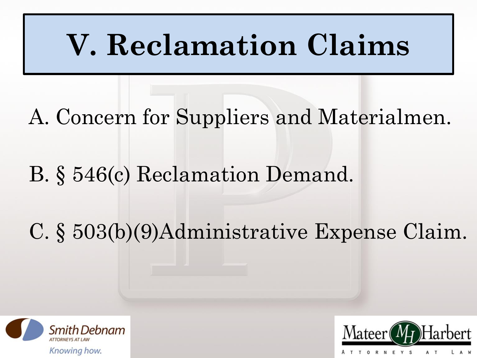# **V. Reclamation Claims**

- A. Concern for Suppliers and Materialmen.
- B. § 546(c) Reclamation Demand.

### C. § 503(b)(9)Administrative Expense Claim.



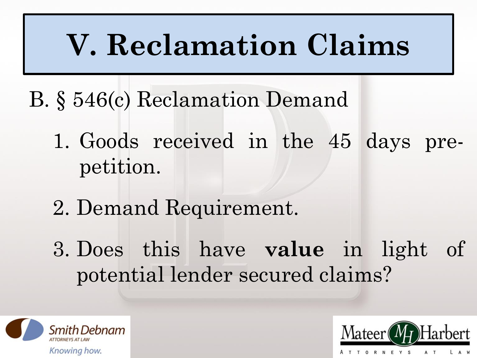# **V. Reclamation Claims**

- B. § 546(c) Reclamation Demand
	- 1. Goods received in the 45 days prepetition.
	- 2. Demand Requirement.
	- 3. Does this have **value** in light of potential lender secured claims?



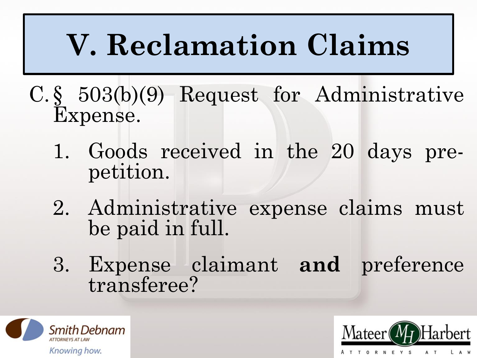# **V. Reclamation Claims**

- C.§ 503(b)(9) Request for Administrative Expense.
	- 1. Goods received in the 20 days prepetition.
	- 2. Administrative expense claims must be paid in full.
	- 3. Expense claimant **and** preference transferee?



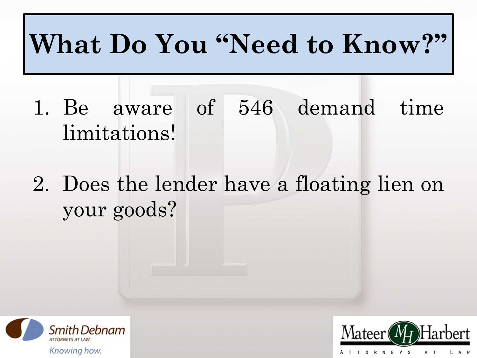### **What Do You "Need to Know?"**

- 1. Be aware of 546 demand time limitations!
- 2. Does the lender have a floating lien on your goods?



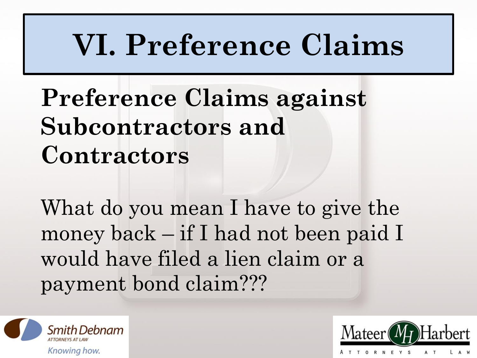# **VI. Preference Claims**

### **Preference Claims against Subcontractors and Contractors**

What do you mean I have to give the money back – if I had not been paid I would have filed a lien claim or a payment bond claim???



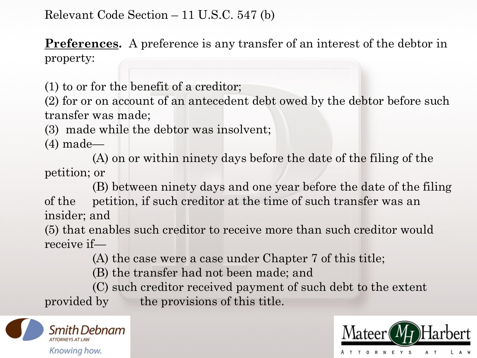**Preferences.** A preference is any transfer of an interest of the debtor in property:

(1) to or for the benefit of a creditor;

(2) for or on account of an antecedent debt owed by the debtor before such transfer was made;

(3) made while the debtor was insolvent;

(4) made—

(A) on or within ninety days before the date of the filing of the petition; or

(B) between ninety days and one year before the date of the filing of the petition, if such creditor at the time of such transfer was an insider; and

(5) that enables such creditor to receive more than such creditor would receive if—

(A) the case were a case under Chapter 7 of this title;

(B) the transfer had not been made; and

(C) such creditor received payment of such debt to the extent provided by the provisions of this title.



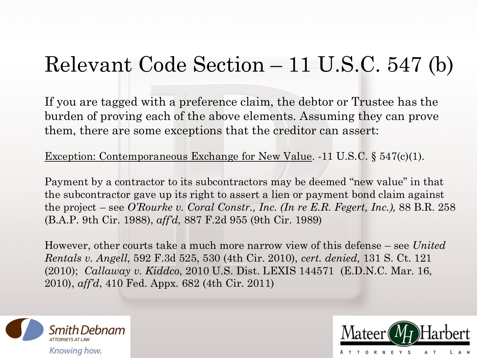If you are tagged with a preference claim, the debtor or Trustee has the burden of proving each of the above elements. Assuming they can prove them, there are some exceptions that the creditor can assert:

Exception: Contemporaneous Exchange for New Value. -11 U.S.C. § 547(c)(1).

Payment by a contractor to its subcontractors may be deemed "new value" in that the subcontractor gave up its right to assert a lien or payment bond claim against the project – see *O'Rourke v. Coral Constr., Inc. (In re E.R. Fegert, Inc.),* 88 B.R. 258 (B.A.P. 9th Cir. 1988), *aff'd*, 887 F.2d 955 (9th Cir. 1989)

However, other courts take a much more narrow view of this defense – see *United Rentals v. Angell*, 592 F.3d 525, 530 (4th Cir. 2010), *cert. denied,* 131 S. Ct. 121 (2010); *Callaway v. Kiddco*, 2010 U.S. Dist. LEXIS 144571 (E.D.N.C. Mar. 16, 2010), *aff'd*, 410 Fed. Appx. 682 (4th Cir. 2011)



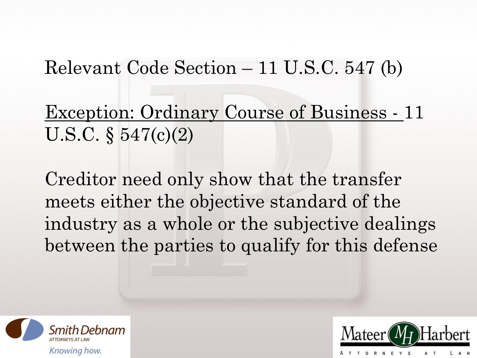Exception: Ordinary Course of Business - 11 U.S.C. § 547(c)(2)

Creditor need only show that the transfer meets either the objective standard of the industry as a whole or the subjective dealings between the parties to qualify for this defense



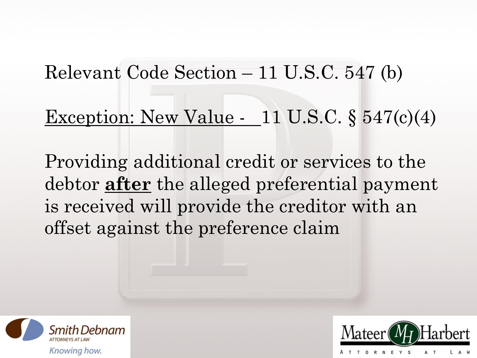#### Exception: New Value - 11 U.S.C. § 547(c)(4)

Providing additional credit or services to the debtor **after** the alleged preferential payment is received will provide the creditor with an offset against the preference claim



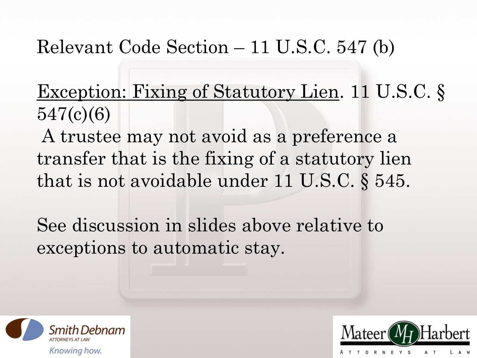Exception: Fixing of Statutory Lien. 11 U.S.C. § 547(c)(6)

A trustee may not avoid as a preference a transfer that is the fixing of a statutory lien that is not avoidable under 11 U.S.C. § 545.

See discussion in slides above relative to exceptions to automatic stay.